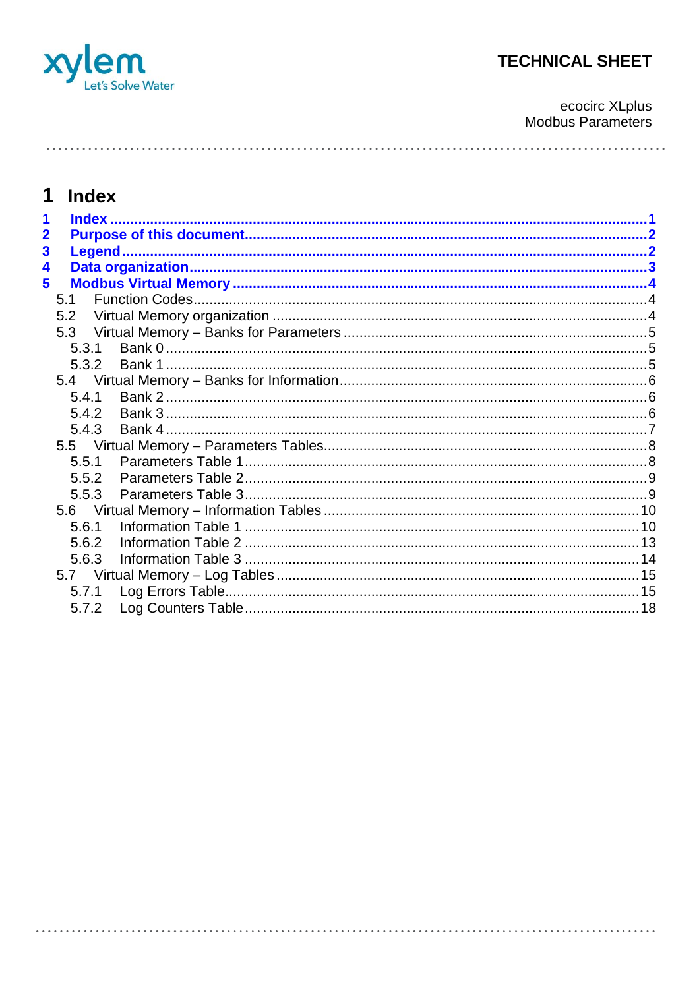

ecocirc XLplus<br>Modbus Parameters

# 1 Index

| $\mathbf{2}$ |       |       |  |
|--------------|-------|-------|--|
| 3            |       |       |  |
| 4            |       |       |  |
| 5            |       |       |  |
|              | 5.1   |       |  |
|              | 5.2   |       |  |
|              | 5.3   |       |  |
|              | 5.3.1 |       |  |
|              | 5.3.2 |       |  |
|              |       |       |  |
|              | 5.4.1 |       |  |
|              | 5.4.2 |       |  |
|              | 5.4.3 |       |  |
|              |       |       |  |
|              | 5.5.1 |       |  |
|              | 5.5.2 |       |  |
|              | 5.5.3 |       |  |
|              |       |       |  |
|              | 5.6.1 |       |  |
|              | 5.6.2 |       |  |
|              | 5.6.3 |       |  |
|              |       |       |  |
|              |       | 5.7.1 |  |
|              | 5.7.2 |       |  |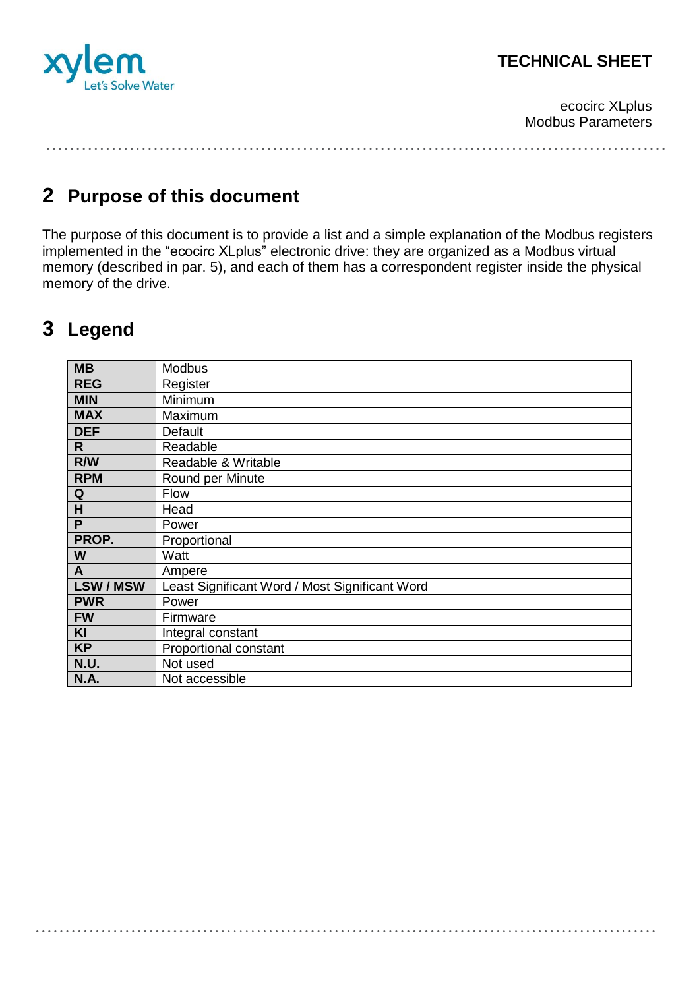

ecocirc XLplus Modbus Parameters

# **2 Purpose of this document**

The purpose of this document is to provide a list and a simple explanation of the Modbus registers implemented in the "ecocirc XLplus" electronic drive: they are organized as a Modbus virtual memory (described in par. [5\)](#page-3-0), and each of them has a correspondent register inside the physical memory of the drive.

# **3 Legend**

| <b>MB</b>      | <b>Modbus</b>                                  |
|----------------|------------------------------------------------|
| <b>REG</b>     | Register                                       |
| <b>MIN</b>     | Minimum                                        |
| <b>MAX</b>     | Maximum                                        |
| <b>DEF</b>     | Default                                        |
| R.             | Readable                                       |
| R/W            | Readable & Writable                            |
| <b>RPM</b>     | Round per Minute                               |
| Q              | Flow                                           |
| H              | Head                                           |
| P              | Power                                          |
| PROP.          | Proportional                                   |
| W              | Watt                                           |
| $\mathsf{A}$   | Ampere                                         |
| <b>LSW/MSW</b> | Least Significant Word / Most Significant Word |
| <b>PWR</b>     | Power                                          |
| <b>FW</b>      | Firmware                                       |
| <b>KI</b>      | Integral constant                              |
| <b>KP</b>      | Proportional constant                          |
| N.U.           | Not used                                       |
| <b>N.A.</b>    | Not accessible                                 |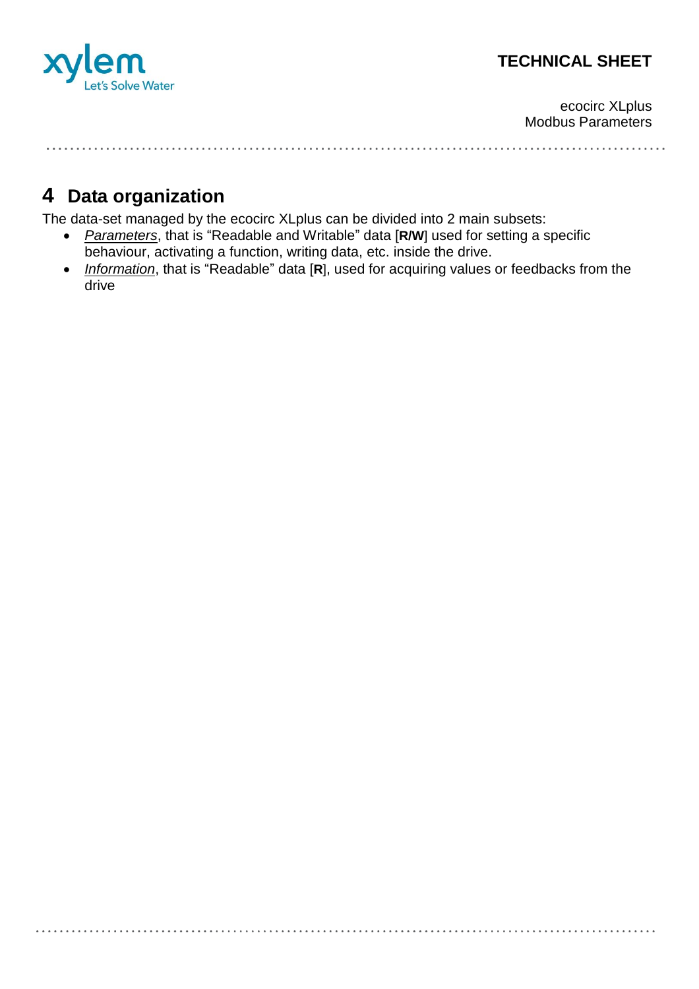

ecocirc XLplus Modbus Parameters

# **4 Data organization**

The data-set managed by the ecocirc XLplus can be divided into 2 main subsets:

- *Parameters*, that is "Readable and Writable" data [**R/W**] used for setting a specific behaviour, activating a function, writing data, etc. inside the drive.
- *Information*, that is "Readable" data [R], used for acquiring values or feedbacks from the drive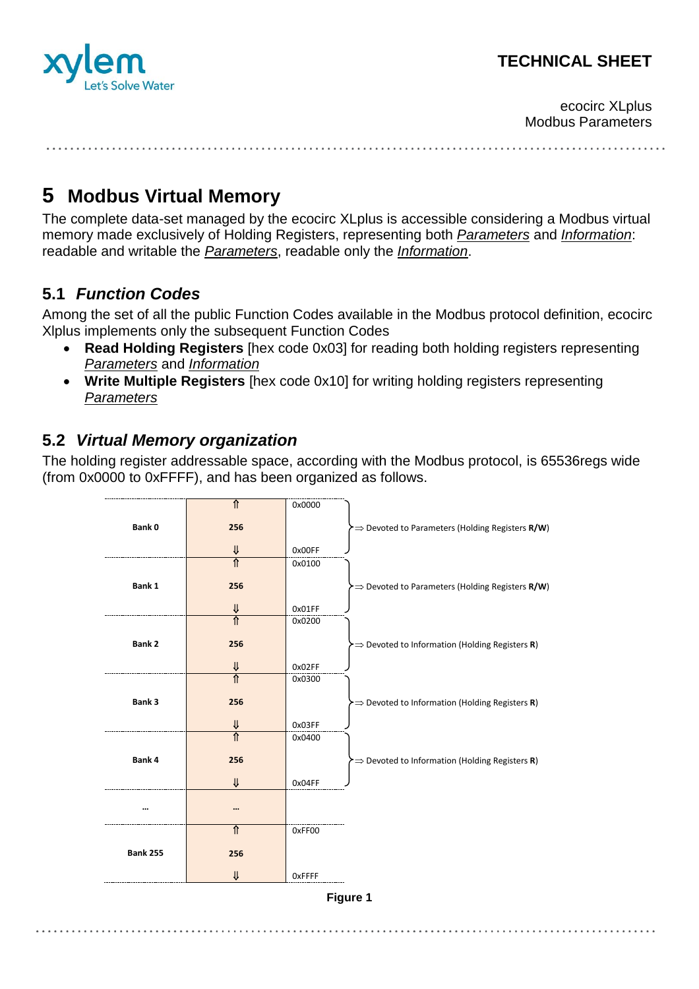

ecocirc XLplus Modbus Parameters

# <span id="page-3-0"></span>**5 Modbus Virtual Memory**

The complete data-set managed by the ecocirc XLplus is accessible considering a Modbus virtual memory made exclusively of Holding Registers, representing both *Parameters* and *Information*: readable and writable the *Parameters*, readable only the *Information*.

## **5.1** *Function Codes*

Among the set of all the public Function Codes available in the Modbus protocol definition, ecocirc Xlplus implements only the subsequent Function Codes

- **Read Holding Registers** [hex code 0x03] for reading both holding registers representing *Parameters* and *Information*
- **Write Multiple Registers** [hex code 0x10] for writing holding registers representing *Parameters*

## **5.2** *Virtual Memory organization*

The holding register addressable space, according with the Modbus protocol, is 65536regs wide (from 0x0000 to 0xFFFF), and has been organized as follows.

|                 | ⇑                      | 0x0000 |                                                                                         |
|-----------------|------------------------|--------|-----------------------------------------------------------------------------------------|
| Bank 0          | 256                    |        | > $\Rightarrow$ Devoted to Parameters (Holding Registers R/W)                           |
|                 |                        |        |                                                                                         |
|                 | V                      | 0x00FF |                                                                                         |
|                 | $\overline{\hat{\pi}}$ | 0x0100 |                                                                                         |
| Bank 1          | 256                    |        | $\blacktriangleright \Rightarrow$ Devoted to Parameters (Holding Registers <b>R/W</b> ) |
|                 |                        |        |                                                                                         |
|                 | V                      | 0x01FF |                                                                                         |
|                 | ⋔                      | 0x0200 |                                                                                         |
| <b>Bank 2</b>   | 256                    |        | $\triangleright$ $\Rightarrow$ Devoted to Information (Holding Registers R)             |
|                 |                        |        |                                                                                         |
|                 | V                      | 0x02FF |                                                                                         |
|                 | ⇑                      | 0x0300 |                                                                                         |
| Bank 3          | 256                    |        | $\Rightarrow$ Devoted to Information (Holding Registers R)                              |
|                 |                        |        |                                                                                         |
|                 | ⇓                      | 0x03FF |                                                                                         |
|                 | ⇑                      | 0x0400 |                                                                                         |
| Bank 4          | 256                    |        | $\Rightarrow$ Devoted to Information (Holding Registers R)                              |
|                 |                        |        |                                                                                         |
|                 | ⇓                      | 0x04FF |                                                                                         |
|                 |                        |        |                                                                                         |
|                 |                        |        |                                                                                         |
|                 | ⇑                      | 0xFF00 |                                                                                         |
|                 |                        |        |                                                                                         |
| <b>Bank 255</b> | 256                    |        |                                                                                         |
|                 | V                      | OxFFFF |                                                                                         |
|                 |                        |        |                                                                                         |

**Figure 1**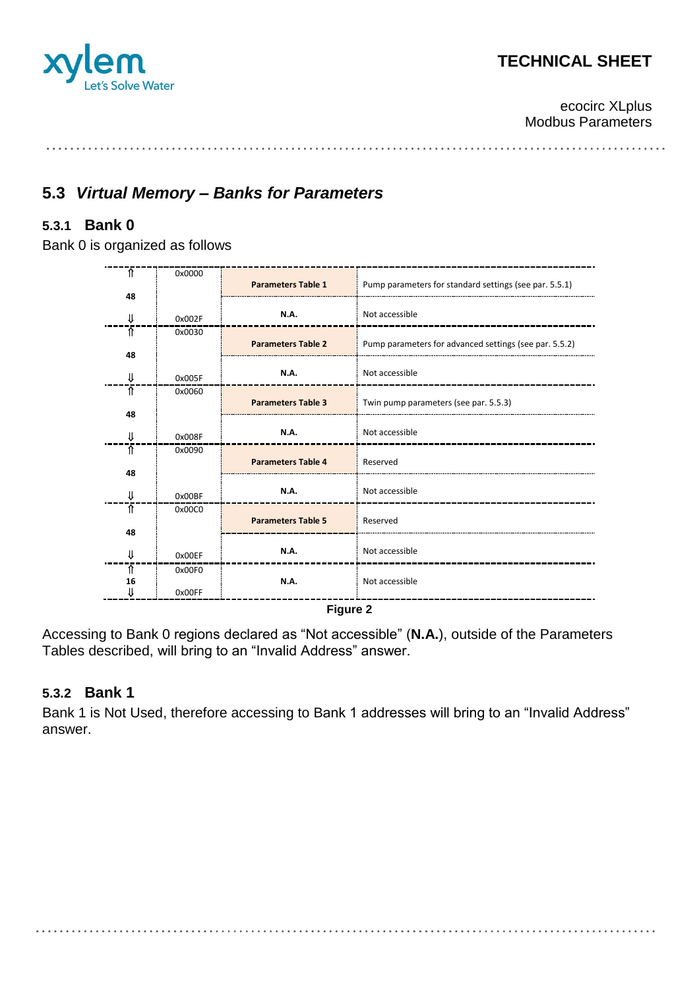

ecocirc XLplus Modbus Parameters

### **5.3** *Virtual Memory – Banks for Parameters*

### **5.3.1 Bank 0**

Bank 0 is organized as follows

| Ŧ       | 0x0000 |                           |                                                        |
|---------|--------|---------------------------|--------------------------------------------------------|
| 48      |        | <b>Parameters Table 1</b> | Pump parameters for standard settings (see par. 5.5.1) |
| ⇓       | 0x002F | <b>N.A.</b>               | Not accessible                                         |
| ⇑       | 0x0030 | <b>Parameters Table 2</b> | Pump parameters for advanced settings (see par. 5.5.2) |
| 48      |        |                           |                                                        |
| ⇓       | 0x005F | N.A.                      | Not accessible                                         |
| ⇑       | 0x0060 |                           |                                                        |
| 48      |        | <b>Parameters Table 3</b> | Twin pump parameters (see par. 5.5.3)                  |
| ₩       | 0x008F | <b>N.A.</b>               | Not accessible                                         |
| ⇑       | 0x0090 | <b>Parameters Table 4</b> | Reserved                                               |
| 48      |        |                           |                                                        |
| ⇓       | 0x00BF | <b>N.A.</b>               | Not accessible                                         |
| ⇑       | 0x00C0 | <b>Parameters Table 5</b> |                                                        |
| 48      |        |                           | Reserved                                               |
| ⇓       | 0x00EF | N.A.                      | Not accessible                                         |
| ⇑       | 0x00F0 |                           |                                                        |
| 16<br>⇓ | 0x00FF | <b>N.A.</b>               | Not accessible                                         |
|         |        | Figura 2                  |                                                        |

**Figure 2**

Accessing to Bank 0 regions declared as "Not accessible" (**N.A.**), outside of the Parameters Tables described, will bring to an "Invalid Address" answer.

#### **5.3.2 Bank 1**

Bank 1 is Not Used, therefore accessing to Bank 1 addresses will bring to an "Invalid Address" answer.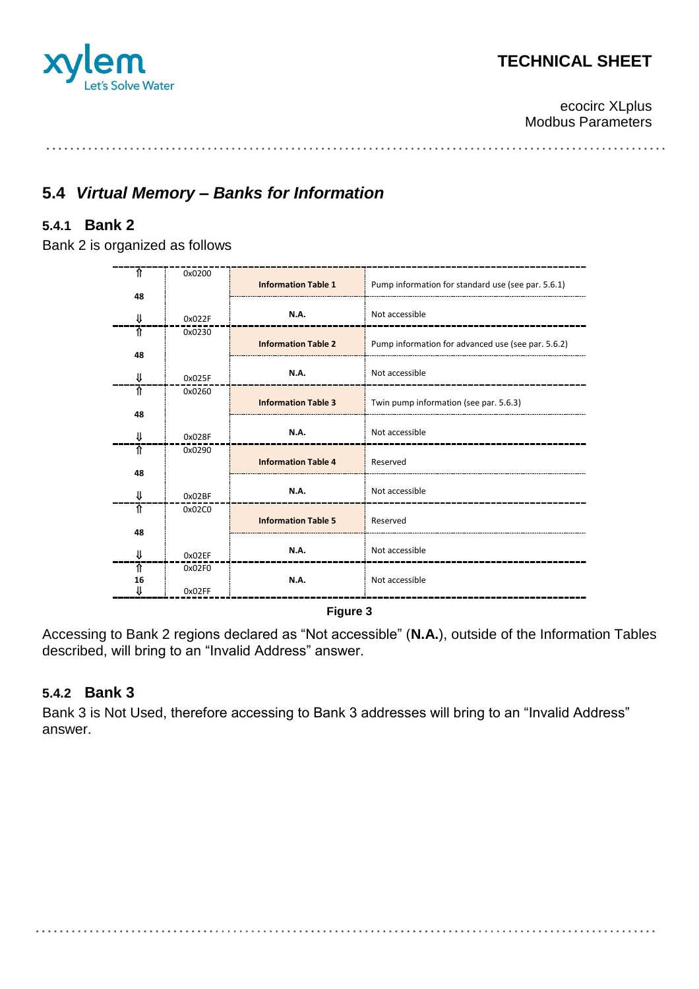

ecocirc XLplus Modbus Parameters

## **5.4** *Virtual Memory – Banks for Information*

### **5.4.1 Bank 2**

Bank 2 is organized as follows

| ᡯ       | 0x0200 |                            |                                                    |
|---------|--------|----------------------------|----------------------------------------------------|
| 48      |        | <b>Information Table 1</b> | Pump information for standard use (see par. 5.6.1) |
| ⇓       | 0x022F | <b>N.A.</b>                | Not accessible                                     |
| ⇑       | 0x0230 | <b>Information Table 2</b> | Pump information for advanced use (see par. 5.6.2) |
| 48      |        |                            |                                                    |
| ⇓       | 0x025F | <b>N.A.</b>                | Not accessible                                     |
| ⇑       | 0x0260 |                            |                                                    |
| 48      |        | <b>Information Table 3</b> | Twin pump information (see par. 5.6.3)             |
| ⇓       | 0x028F | N.A.                       | Not accessible                                     |
| ⇑       | 0x0290 | <b>Information Table 4</b> | Reserved                                           |
| 48      |        |                            |                                                    |
| ⇓       | 0x02BF | <b>N.A.</b>                | Not accessible                                     |
| ⇑       | 0x02C0 | <b>Information Table 5</b> | Reserved                                           |
| 48      |        |                            |                                                    |
| ⇓       | 0x02EF | <b>N.A.</b>                | Not accessible                                     |
| ⇑       | 0x02F0 |                            |                                                    |
| 16<br>⇓ | 0x02FF | <b>N.A.</b>                | Not accessible                                     |

**Figure 3**

Accessing to Bank 2 regions declared as "Not accessible" (**N.A.**), outside of the Information Tables described, will bring to an "Invalid Address" answer.

#### **5.4.2 Bank 3**

Bank 3 is Not Used, therefore accessing to Bank 3 addresses will bring to an "Invalid Address" answer.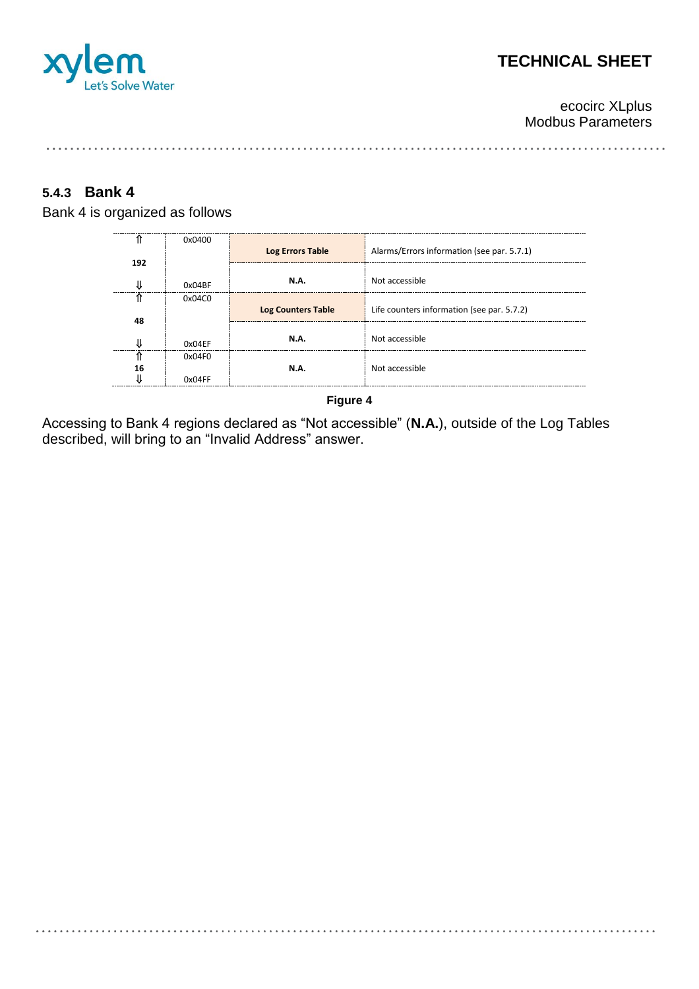

ecocirc XLplus Modbus Parameters

#### **5.4.3 Bank 4**

Bank 4 is organized as follows

|     | 0x0400 | <b>Log Errors Table</b>   | Alarms/Errors information (see par. 5.7.1) |
|-----|--------|---------------------------|--------------------------------------------|
| 192 |        |                           |                                            |
|     | 0x04BF | <b>N.A.</b>               | Not accessible                             |
|     | 0x04C0 | <b>Log Counters Table</b> | Life counters information (see par. 5.7.2) |
| 48  |        |                           |                                            |
|     | 0x04FF | <b>N.A.</b>               | Not accessible                             |
|     | 0x04F0 |                           |                                            |
| 16  |        | <b>N.A.</b>               | Not accessible                             |
|     |        |                           |                                            |

#### **Figure 4**

Accessing to Bank 4 regions declared as "Not accessible" (**N.A.**), outside of the Log Tables described, will bring to an "Invalid Address" answer.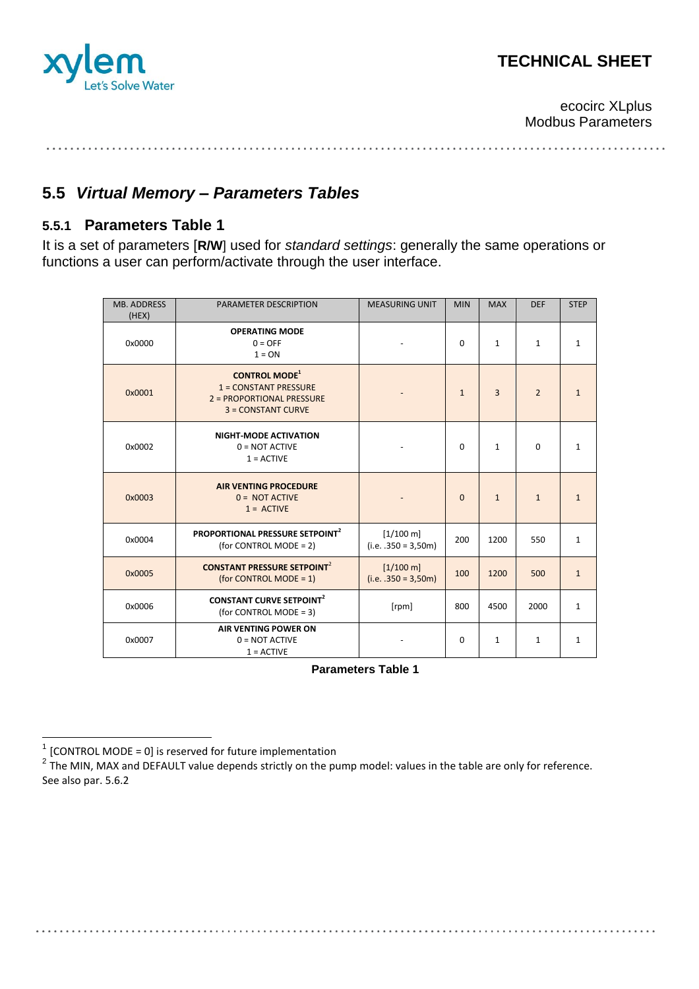

ecocirc XLplus Modbus Parameters

. . . . . . . . . . . . . . . . . . . . . . . . . . .

## **5.5** *Virtual Memory – Parameters Tables*

### <span id="page-7-0"></span>**5.5.1 Parameters Table 1**

It is a set of parameters [**R/W**] used for *standard settings*: generally the same operations or functions a user can perform/activate through the user interface.

| <b>MB. ADDRESS</b><br>(HEX) | PARAMETER DESCRIPTION                                                                                          | <b>MEASURING UNIT</b>                        | <b>MIN</b>   | <b>MAX</b>     | <b>DEF</b>     | <b>STEP</b>  |
|-----------------------------|----------------------------------------------------------------------------------------------------------------|----------------------------------------------|--------------|----------------|----------------|--------------|
| 0x0000                      | <b>OPERATING MODE</b><br>$0 =$ OFF<br>$1 = ON$                                                                 |                                              | $\Omega$     | $\mathbf{1}$   | $\mathbf{1}$   | $\mathbf{1}$ |
| 0x0001                      | <b>CONTROL MODE</b> <sup>1</sup><br>$1 = CONSTANT PRESSURE$<br>2 = PROPORTIONAL PRESSURE<br>3 = CONSTANT CURVE |                                              | $\mathbf{1}$ | $\overline{3}$ | $\overline{2}$ | $\mathbf{1}$ |
| 0x0002                      | <b>NIGHT-MODE ACTIVATION</b><br>$0 = NOT$ ACTIVE<br>$1 =$ ACTIVE                                               |                                              | $\Omega$     | $\mathbf{1}$   | $\Omega$       | $\mathbf{1}$ |
| 0x0003                      | <b>AIR VENTING PROCEDURE</b><br>$0 = NOT$ ACTIVE<br>$1 =$ ACTIVE                                               |                                              | $\mathbf{0}$ | $\mathbf{1}$   | $\mathbf{1}$   | $\mathbf{1}$ |
| 0x0004                      | <b>PROPORTIONAL PRESSURE SETPOINT<sup>2</sup></b><br>(for CONTROL MODE = 2)                                    | $[1/100 \text{ m}]$<br>$(i.e. .350 = 3,50m)$ | 200          | 1200           | 550            | $\mathbf{1}$ |
| 0x0005                      | <b>CONSTANT PRESSURE SETPOINT<sup>2</sup></b><br>(for CONTROL MODE = $1$ )                                     | $[1/100 \text{ m}]$<br>$(i.e. .350 = 3,50m)$ | 100          | 1200           | 500            | $\mathbf{1}$ |
| 0x0006                      | <b>CONSTANT CURVE SETPOINT<sup>2</sup></b><br>(for CONTROL MODE = 3)                                           | [rpm]                                        | 800          | 4500           | 2000           | $\mathbf{1}$ |
| 0x0007                      | <b>AIR VENTING POWER ON</b><br>$0 = NOT$ ACTIVE<br>$1 = ACTIVE$                                                |                                              | $\Omega$     | $\mathbf{1}$   | $\mathbf{1}$   | $\mathbf{1}$ |

**Parameters Table 1**

 $\frac{1}{1}$ [CONTROL MODE = 0] is reserved for future implementation

<span id="page-7-1"></span> $^2$  The MIN, MAX and DEFAULT value depends strictly on the pump model: values in the table are only for reference. See also par[. 5.6.2](#page-12-0)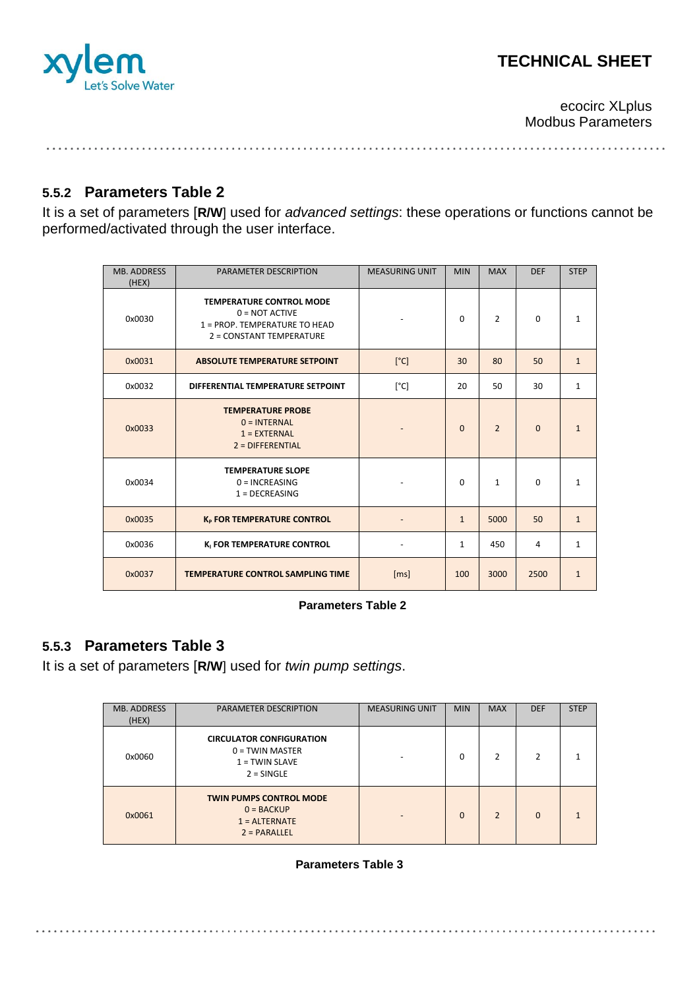

ecocirc XLplus Modbus Parameters

### **5.5.2 Parameters Table 2**

It is a set of parameters [**R/W**] used for *advanced settings*: these operations or functions cannot be performed/activated through the user interface.

| <b>MB. ADDRESS</b><br>(HEX) | <b>PARAMETER DESCRIPTION</b>                                                                                     | <b>MEASURING UNIT</b> | <b>MIN</b>   | <b>MAX</b>     | <b>DEF</b> | <b>STEP</b>  |
|-----------------------------|------------------------------------------------------------------------------------------------------------------|-----------------------|--------------|----------------|------------|--------------|
| 0x0030                      | <b>TEMPERATURE CONTROL MODE</b><br>$0 = NOT$ ACTIVE<br>1 = PROP. TEMPERATURE TO HEAD<br>2 = CONSTANT TEMPERATURE |                       | $\Omega$     | $\overline{2}$ | $\Omega$   | $\mathbf{1}$ |
| 0x0031                      | <b>ABSOLUTE TEMPERATURE SETPOINT</b>                                                                             | [°C]                  | 30           | 80             | 50         | $\mathbf{1}$ |
| 0x0032                      | DIFFERENTIAL TEMPERATURE SETPOINT                                                                                | [°C]                  | 20           | 50             | 30         | $\mathbf{1}$ |
| 0x0033                      | <b>TEMPERATURE PROBE</b><br>$0 = INTERNAL$<br>$1 = EXTERNAL$<br>$2 = DIFFERENTIAL$                               |                       | $\Omega$     | $\overline{2}$ | $\Omega$   | $\mathbf{1}$ |
| 0x0034                      | <b>TEMPERATURE SLOPE</b><br>$0 = INCREASING$<br>$1 = DECREASING$                                                 |                       | $\Omega$     | $\mathbf{1}$   | $\Omega$   | $\mathbf{1}$ |
| 0x0035                      | K <sub>P</sub> FOR TEMPERATURE CONTROL                                                                           |                       | $\mathbf{1}$ | 5000           | 50         | $\mathbf{1}$ |
| 0x0036                      | K <sub>I</sub> FOR TEMPERATURE CONTROL                                                                           |                       | $\mathbf{1}$ | 450            | 4          | $\mathbf{1}$ |
| 0x0037                      | <b>TEMPERATURE CONTROL SAMPLING TIME</b>                                                                         | [ms]                  | 100          | 3000           | 2500       | $\mathbf{1}$ |

#### **Parameters Table 2**

#### <span id="page-8-0"></span>**5.5.3 Parameters Table 3**

It is a set of parameters [**R/W**] used for *twin pump settings*.

| <b>MB. ADDRESS</b><br>(HEX) | <b>PARAMETER DESCRIPTION</b>                                                             | <b>MEASURING UNIT</b> | <b>MIN</b> | <b>MAX</b>     | <b>DEF</b> | <b>STEP</b> |
|-----------------------------|------------------------------------------------------------------------------------------|-----------------------|------------|----------------|------------|-------------|
| 0x0060                      | <b>CIRCULATOR CONFIGURATION</b><br>$0 = TWIN$ MASTER<br>$1 = TWIN SLAVE$<br>$2 =$ SINGLE |                       | $\Omega$   | 2              | 2          |             |
| 0x0061                      | <b>TWIN PUMPS CONTROL MODE</b><br>$0 = BACKUP$<br>$1 =$ ALTERNATE<br>$2 = PARALLEL$      |                       | $\Omega$   | $\mathfrak{p}$ | $\Omega$   |             |

#### **Parameters Table 3**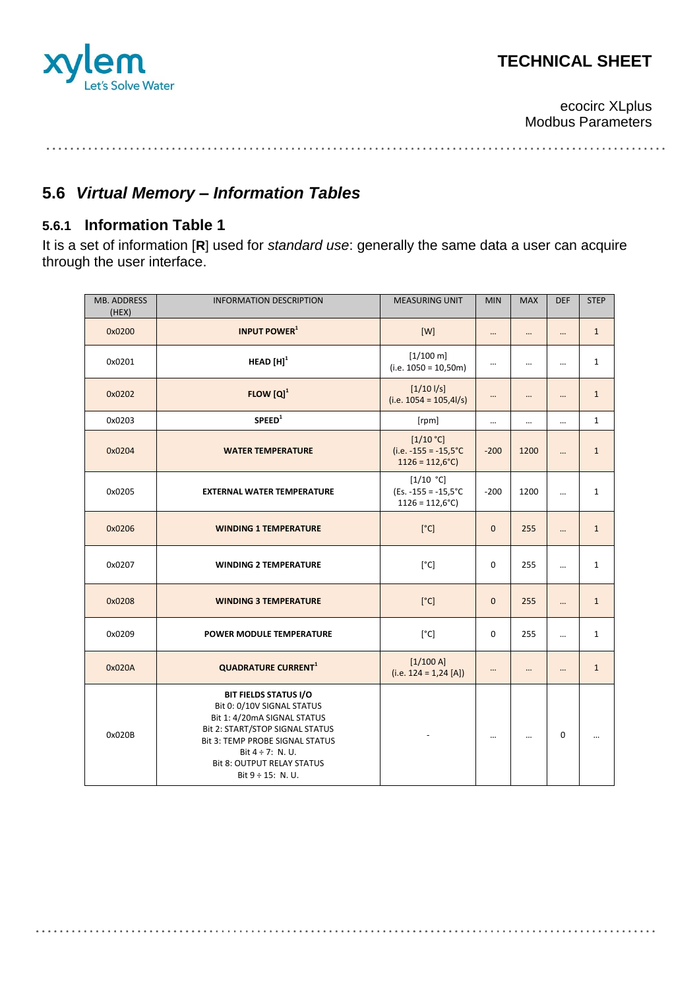

ecocirc XLplus Modbus Parameters

# **5.6** *Virtual Memory – Information Tables*

## <span id="page-9-0"></span>**5.6.1 Information Table 1**

It is a set of information [**R**] used for *standard use*: generally the same data a user can acquire through the user interface.

| MB. ADDRESS<br>(HEX) | <b>INFORMATION DESCRIPTION</b>                                                                                                                                                                                                                                 | <b>MEASURING UNIT</b>                                                 | <b>MIN</b>   | <b>MAX</b> | <b>DEF</b>  | <b>STEP</b>  |
|----------------------|----------------------------------------------------------------------------------------------------------------------------------------------------------------------------------------------------------------------------------------------------------------|-----------------------------------------------------------------------|--------------|------------|-------------|--------------|
| 0x0200               | <b>INPUT POWER</b> <sup>1</sup>                                                                                                                                                                                                                                | [W]                                                                   |              |            | $\cdots$    | $\mathbf{1}$ |
| 0x0201               | HEAD $[H]$ <sup>1</sup>                                                                                                                                                                                                                                        | $[1/100 \text{ m}]$<br>$(i.e. 1050 = 10,50m)$                         | $\cdots$     |            |             | $\mathbf{1}$ |
| 0x0202               | $FLOW [Q]$ <sup>1</sup>                                                                                                                                                                                                                                        | $[1/10 \frac{1}{s}]$<br>$(i.e. 1054 = 105,41/s)$                      |              |            |             | $\mathbf{1}$ |
| 0x0203               | SPEED <sup>1</sup>                                                                                                                                                                                                                                             | [rpm]                                                                 |              |            |             | $\mathbf{1}$ |
| 0x0204               | <b>WATER TEMPERATURE</b>                                                                                                                                                                                                                                       | [1/10 °C]<br>(i.e. $-155 = -15,5^{\circ}C$<br>$1126 = 112,6^{\circ}C$ | $-200$       | 1200       |             | $\mathbf{1}$ |
| 0x0205               | <b>EXTERNAL WATER TEMPERATURE</b>                                                                                                                                                                                                                              | [1/10 °C]<br>$(Es. -155 = -15.5^{\circ}C)$<br>$1126 = 112,6^{\circ}C$ | $-200$       | 1200       | $\ddotsc$   | $\mathbf{1}$ |
| 0x0206               | <b>WINDING 1 TEMPERATURE</b>                                                                                                                                                                                                                                   | [°C]                                                                  | $\mathbf{0}$ | 255        |             | $\mathbf{1}$ |
| 0x0207               | <b>WINDING 2 TEMPERATURE</b>                                                                                                                                                                                                                                   | [°C]                                                                  | $\mathbf 0$  | 255        | $\cdots$    | $\mathbf{1}$ |
| 0x0208               | <b>WINDING 3 TEMPERATURE</b>                                                                                                                                                                                                                                   | [°C]                                                                  | $\mathbf{0}$ | 255        |             | $\mathbf{1}$ |
| 0x0209               | POWER MODULE TEMPERATURE                                                                                                                                                                                                                                       | [°C]                                                                  | 0            | 255        | $\ddotsc$   | $\mathbf{1}$ |
| 0x020A               | <b>QUADRATURE CURRENT<sup>1</sup></b>                                                                                                                                                                                                                          | [1/100A]<br>(i.e. $124 = 1,24$ [A])                                   |              | $\ddotsc$  |             | $\mathbf{1}$ |
| 0x020B               | <b>BIT FIELDS STATUS I/O</b><br>Bit 0: 0/10V SIGNAL STATUS<br>Bit 1: 4/20mA SIGNAL STATUS<br>Bit 2: START/STOP SIGNAL STATUS<br><b>Bit 3: TEMP PROBE SIGNAL STATUS</b><br>Bit $4 \div 7$ : N.U.<br><b>Bit 8: OUTPUT RELAY STATUS</b><br>Bit $9 \div 15$ : N.U. |                                                                       |              | $\cdots$   | $\mathbf 0$ |              |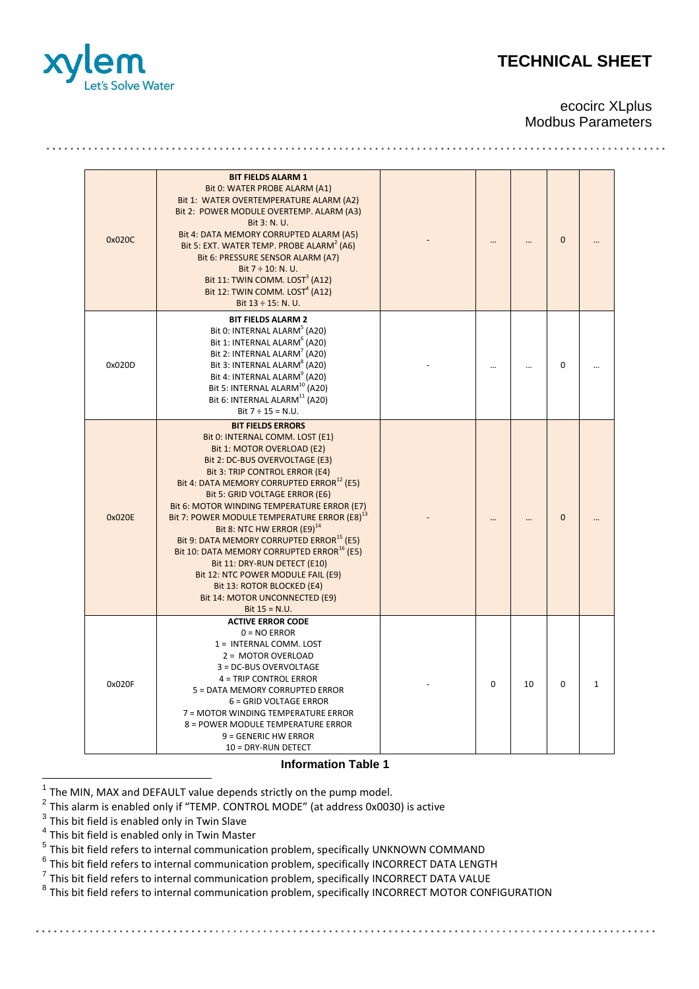

#### ecocirc XLplus Modbus Parameters

| 0x020C | <b>BIT FIELDS ALARM 1</b><br>Bit 0: WATER PROBE ALARM (A1)<br>Bit 1: WATER OVERTEMPERATURE ALARM (A2)<br>Bit 2: POWER MODULE OVERTEMP. ALARM (A3)<br>Bit 3: N. U.<br>Bit 4: DATA MEMORY CORRUPTED ALARM (A5)<br>Bit 5: EXT. WATER TEMP. PROBE ALARM <sup>2</sup> (A6)<br>Bit 6: PRESSURE SENSOR ALARM (A7)<br>Bit $7 \div 10$ : N. U.<br>Bit 11: TWIN COMM. LOST <sup>3</sup> (A12)<br>Bit 12: TWIN COMM. LOST <sup>4</sup> (A12)<br>Bit 13 ÷ 15: N. U.                                                                                                                                                                                                                                   |          |    | $\overline{0}$ |              |
|--------|-------------------------------------------------------------------------------------------------------------------------------------------------------------------------------------------------------------------------------------------------------------------------------------------------------------------------------------------------------------------------------------------------------------------------------------------------------------------------------------------------------------------------------------------------------------------------------------------------------------------------------------------------------------------------------------------|----------|----|----------------|--------------|
| 0x020D | <b>BIT FIELDS ALARM 2</b><br>Bit 0: INTERNAL ALARM <sup>5</sup> (A20)<br>Bit 1: INTERNAL ALARM <sup>6</sup> (A20)<br>Bit 2: INTERNAL ALARM <sup>'</sup> (A20)<br>Bit 3: INTERNAL ALARM <sup>8</sup> (A20)<br>Bit 4: INTERNAL ALARM <sup>9</sup> (A20)<br>Bit 5: INTERNAL ALARM <sup>10</sup> (A20)<br>Bit 6: INTERNAL ALARM <sup>11</sup> (A20)<br>Bit $7 \div 15 = N.U.$                                                                                                                                                                                                                                                                                                                 |          |    | 0              |              |
| 0x020E | <b>BIT FIELDS ERRORS</b><br>Bit 0: INTERNAL COMM. LOST (E1)<br>Bit 1: MOTOR OVERLOAD (E2)<br>Bit 2: DC-BUS OVERVOLTAGE (E3)<br>Bit 3: TRIP CONTROL ERROR (E4)<br>Bit 4: DATA MEMORY CORRUPTED ERROR <sup>12</sup> (E5)<br>Bit 5: GRID VOLTAGE ERROR (E6)<br>Bit 6: MOTOR WINDING TEMPERATURE ERROR (E7)<br>Bit 7: POWER MODULE TEMPERATURE ERROR (E8) <sup>13</sup><br>Bit 8: NTC HW ERROR (E9) <sup>14</sup><br>Bit 9: DATA MEMORY CORRUPTED ERROR <sup>15</sup> (E5)<br>Bit 10: DATA MEMORY CORRUPTED ERROR <sup>16</sup> (E5)<br>Bit 11: DRY-RUN DETECT (E10)<br>Bit 12: NTC POWER MODULE FAIL (E9)<br>Bit 13: ROTOR BLOCKED (E4)<br>Bit 14: MOTOR UNCONNECTED (E9)<br>Bit $15 = N.U.$ |          |    | $\overline{0}$ |              |
| 0x020F | <b>ACTIVE ERROR CODE</b><br>$0 = NO$ ERROR<br>1 = INTERNAL COMM. LOST<br>2 = MOTOR OVERLOAD<br>3 = DC-BUS OVERVOLTAGE<br>4 = TRIP CONTROL ERROR<br>5 = DATA MEMORY CORRUPTED ERROR<br>6 = GRID VOLTAGE ERROR<br>7 = MOTOR WINDING TEMPERATURE ERROR<br>8 = POWER MODULE TEMPERATURE ERROR<br>$9 =$ GENERIC HW ERROR<br>10 = DRY-RUN DETECT                                                                                                                                                                                                                                                                                                                                                | $\Omega$ | 10 | 0              | $\mathbf{1}$ |

**Information Table 1**

. . . . . . . . . . . . . . . .

1 The MIN, MAX and DEFAULT value depends strictly on the pump model.

 $^2$  This alarm is enabled only if "TEMP. CONTROL MODE" (at address 0x0030) is active

 $^3$  This bit field is enabled only in Twin Slave

<sup>4</sup> This bit field is enabled only in Twin Master

<sup>5</sup> This bit field refers to internal communication problem, specifically UNKNOWN COMMAND

 $^6$  This bit field refers to internal communication problem, specifically INCORRECT DATA LENGTH

 $^7$  This bit field refers to internal communication problem, specifically INCORRECT DATA VALUE

<sup>8</sup> This bit field refers to internal communication problem, specifically INCORRECT MOTOR CONFIGURATION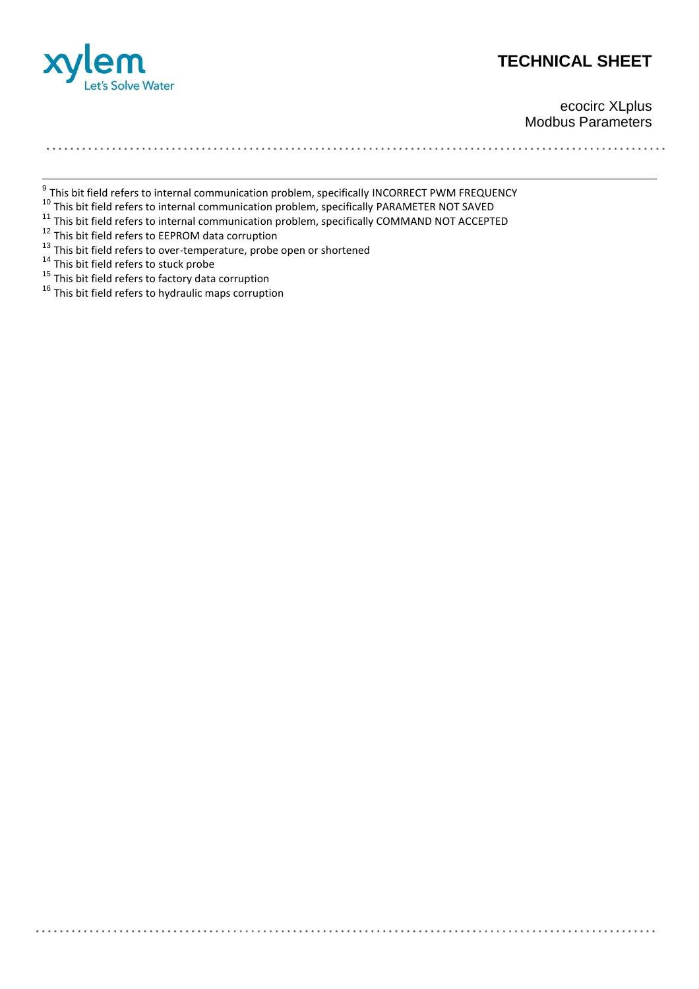

ecocirc XLplus Modbus Parameters

<sup>9</sup><br>This bit field refers to internal communication problem, specifically INCORRECT PWM FREQUENCY

<sup>11</sup> This bit field refers to internal communication problem, specifically PARAMETER NOT SAVED

- $\frac{11}{11}$  This bit field refers to internal communication problem, specifically COMMAND NOT ACCEPTED
- $\frac{12}{12}$  This bit field refers to EEPROM data corruption
- <sup>13</sup> This bit field refers to over-temperature, probe open or shortened

- <sup>14</sup> This bit field refers to stuck probe
- <sup>15</sup> This bit field refers to factory data corruption
- <sup>16</sup> This bit field refers to hydraulic maps corruption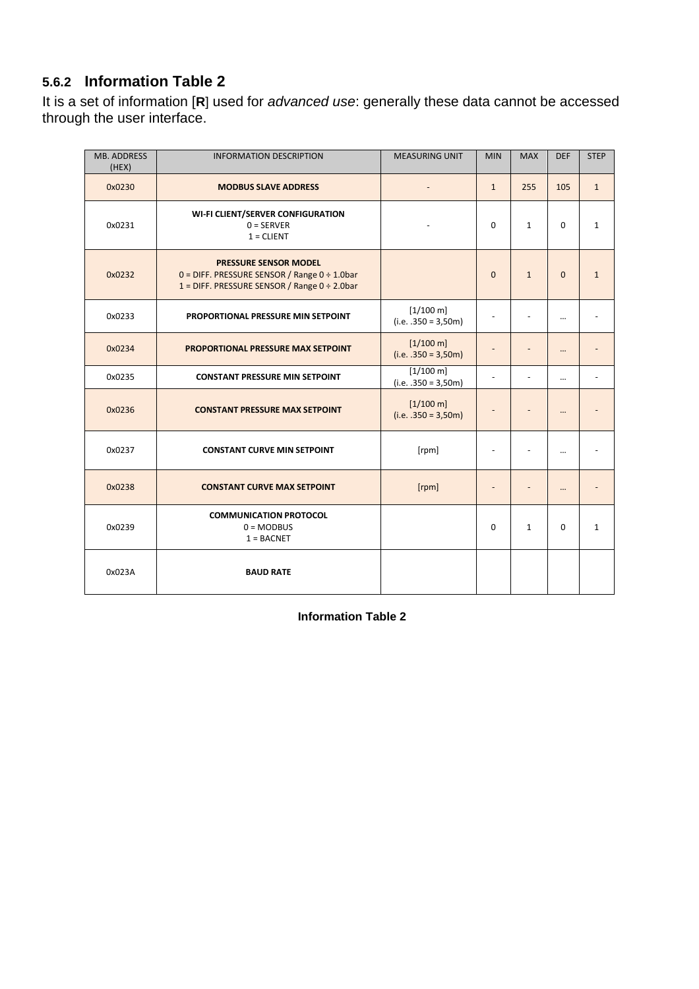## <span id="page-12-0"></span>**5.6.2 Information Table 2**

It is a set of information [**R**] used for *advanced use*: generally these data cannot be accessed through the user interface.

| <b>MB. ADDRESS</b><br>(HEX) | <b>INFORMATION DESCRIPTION</b>                                                                                                             | <b>MEASURING UNIT</b>                           | <b>MIN</b>               | <b>MAX</b>   | <b>DEF</b>  | <b>STEP</b>  |
|-----------------------------|--------------------------------------------------------------------------------------------------------------------------------------------|-------------------------------------------------|--------------------------|--------------|-------------|--------------|
| 0x0230                      | <b>MODBUS SLAVE ADDRESS</b>                                                                                                                |                                                 | $\mathbf{1}$             | 255          | 105         | $\mathbf{1}$ |
| 0x0231                      | <b>WI-FI CLIENT/SERVER CONFIGURATION</b><br>$0 =$ SERVER<br>$1 = CLIENT$                                                                   |                                                 | 0                        | $\mathbf{1}$ | 0           | $\mathbf{1}$ |
| 0x0232                      | <b>PRESSURE SENSOR MODEL</b><br>$0 =$ DIFF. PRESSURE SENSOR / Range $0 \div 1.0$ bar<br>1 = DIFF. PRESSURE SENSOR / Range $0 \div 2.0$ bar |                                                 | $\mathbf{0}$             | $\mathbf{1}$ | $\mathbf 0$ | $\mathbf{1}$ |
| 0x0233                      | PROPORTIONAL PRESSURE MIN SETPOINT                                                                                                         | $[1/100 \text{ m}]$<br>$(i.e. .350 = 3,50m)$    |                          |              |             |              |
| 0x0234                      | <b>PROPORTIONAL PRESSURE MAX SETPOINT</b>                                                                                                  | $[1/100 \text{ m}]$<br>$(i.e. .350 = 3,50m)$    |                          |              |             |              |
| 0x0235                      | <b>CONSTANT PRESSURE MIN SETPOINT</b>                                                                                                      | $[1/100 \,\mathrm{m}]$<br>$(i.e. .350 = 3,50m)$ | $\blacksquare$           |              |             |              |
| 0x0236                      | <b>CONSTANT PRESSURE MAX SETPOINT</b>                                                                                                      | $[1/100 \text{ m}]$<br>$(i.e. .350 = 3,50m)$    |                          |              |             |              |
| 0x0237                      | <b>CONSTANT CURVE MIN SETPOINT</b>                                                                                                         | [rpm]                                           | $\blacksquare$           |              |             |              |
| 0x0238                      | <b>CONSTANT CURVE MAX SETPOINT</b>                                                                                                         | [rpm]                                           | $\overline{\phantom{a}}$ |              |             |              |
| 0x0239                      | <b>COMMUNICATION PROTOCOL</b><br>$0 = MODBUS$<br>$1 = BACNET$                                                                              |                                                 | 0                        | $\mathbf{1}$ | 0           | $\mathbf{1}$ |
| 0x023A                      | <b>BAUD RATE</b>                                                                                                                           |                                                 |                          |              |             |              |

**Information Table 2**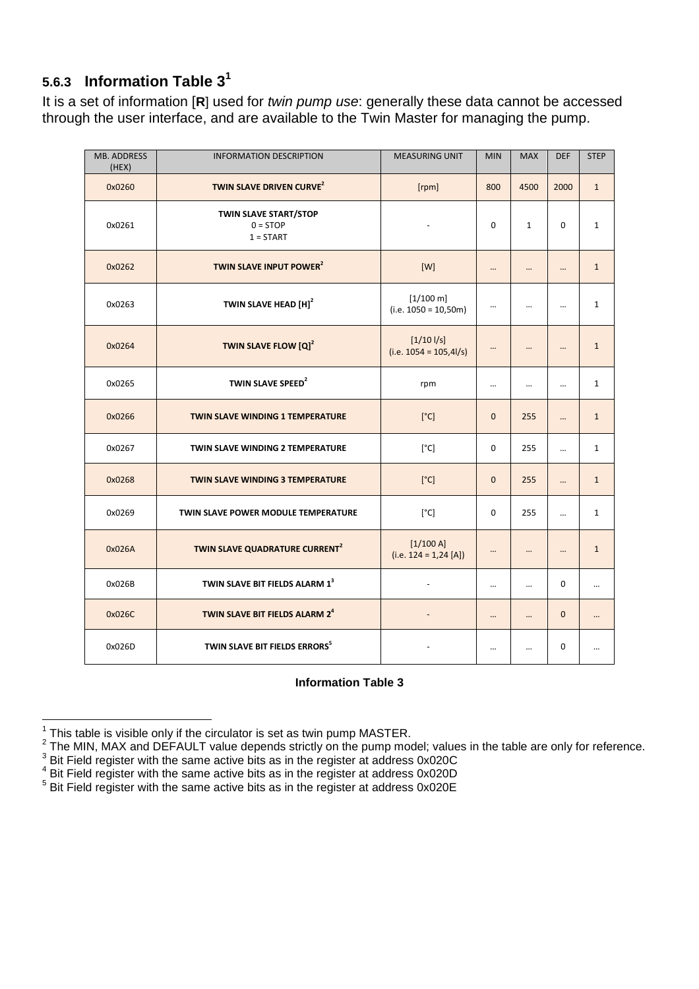## <span id="page-13-0"></span>**5.6.3 Information Table 3<sup>1</sup>**

It is a set of information [**R**] used for *twin pump use*: generally these data cannot be accessed through the user interface, and are available to the Twin Master for managing the pump.

| <b>MB. ADDRESS</b><br>(HEX) | <b>INFORMATION DESCRIPTION</b>                            | <b>MEASURING UNIT</b>                         | <b>MIN</b>     | <b>MAX</b>   | <b>DEF</b>  | <b>STEP</b>  |
|-----------------------------|-----------------------------------------------------------|-----------------------------------------------|----------------|--------------|-------------|--------------|
| 0x0260                      | TWIN SLAVE DRIVEN CURVE <sup>2</sup>                      | [rpm]                                         | 800            | 4500         | 2000        | $\mathbf{1}$ |
| 0x0261                      | <b>TWIN SLAVE START/STOP</b><br>$0 = STOP$<br>$1 = STATE$ | $\blacksquare$                                | $\Omega$       | $\mathbf{1}$ | $\mathbf 0$ | $\mathbf{1}$ |
| 0x0262                      | TWIN SLAVE INPUT POWER <sup>2</sup>                       | [W]                                           | $\cdots$       |              |             | $\mathbf{1}$ |
| 0x0263                      | TWIN SLAVE HEAD [H] <sup>2</sup>                          | $[1/100 \text{ m}]$<br>$(i.e. 1050 = 10,50m)$ | $\ldots$       |              |             | $\mathbf{1}$ |
| 0x0264                      | TWIN SLAVE FLOW [Q] <sup>2</sup>                          | $[1/10$ $1/s]$<br>$(i.e. 1054 = 105,41/s)$    | $\cdots$       |              |             | $\mathbf{1}$ |
| 0x0265                      | TWIN SLAVE SPEED <sup>2</sup>                             | rpm                                           | $\ldots$       |              |             | $1\,$        |
| 0x0266                      | <b>TWIN SLAVE WINDING 1 TEMPERATURE</b>                   | [°C]                                          | $\mathbf{0}$   | 255          |             | $\mathbf{1}$ |
| 0x0267                      | <b>TWIN SLAVE WINDING 2 TEMPERATURE</b>                   | [°C]                                          | $\Omega$       | 255          | $\ddotsc$   | $\mathbf{1}$ |
| 0x0268                      | <b>TWIN SLAVE WINDING 3 TEMPERATURE</b>                   | [°C]                                          | $\overline{0}$ | 255          |             | $\mathbf{1}$ |
| 0x0269                      | TWIN SLAVE POWER MODULE TEMPERATURE                       | [°C]                                          | $\mathbf 0$    | 255          |             | $\mathbf{1}$ |
| 0x026A                      | TWIN SLAVE QUADRATURE CURRENT <sup>2</sup>                | [1/100 A]<br>$(i.e. 124 = 1,24 [A])$          |                |              |             | $\mathbf{1}$ |
| 0x026B                      | TWIN SLAVE BIT FIELDS ALARM 13                            | L,                                            | $\cdots$       |              | $\Omega$    |              |
| 0x026C                      | TWIN SLAVE BIT FIELDS ALARM 2 <sup>4</sup>                | $\overline{\phantom{0}}$                      |                |              | $\mathbf 0$ |              |
| 0x026D                      | TWIN SLAVE BIT FIELDS ERRORS <sup>5</sup>                 |                                               | $\cdots$       |              | $\mathbf 0$ |              |

#### **Information Table 3**

 1 This table is visible only if the circulator is set as twin pump MASTER. 2 The MIN, MAX and DEFAULT value depends strictly on the pump model; values in the table are only for reference.

 $^3$  Bit Field register with the same active bits as in the register at address 0x020C

 $4$  Bit Field register with the same active bits as in the register at address 0x020D

<sup>&</sup>lt;sup>5</sup> Bit Field register with the same active bits as in the register at address 0x020E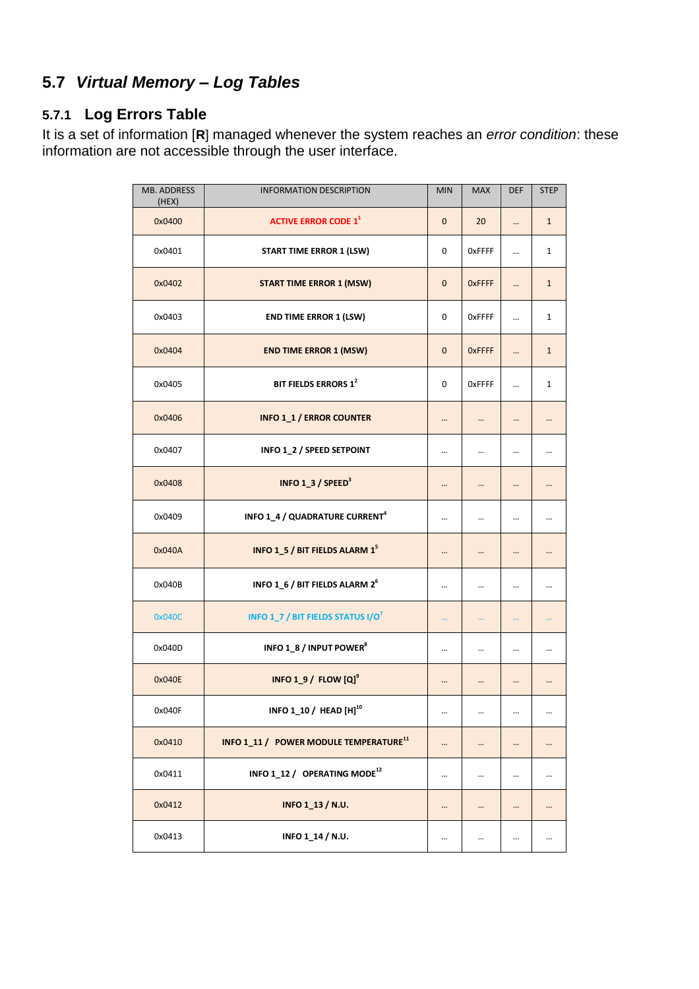## **5.7** *Virtual Memory – Log Tables*

## <span id="page-14-0"></span>**5.7.1 Log Errors Table**

It is a set of information [**R**] managed whenever the system reaches an *error condition*: these information are not accessible through the user interface.

| <b>MB. ADDRESS</b><br>(HEX) | <b>INFORMATION DESCRIPTION</b>                      | <b>MIN</b>     | <b>MAX</b>    | <b>DEF</b> | <b>STEP</b>  |
|-----------------------------|-----------------------------------------------------|----------------|---------------|------------|--------------|
| 0x0400                      | <b>ACTIVE ERROR CODE 1<sup>1</sup></b>              | $\overline{0}$ | 20            |            | $\mathbf{1}$ |
| 0x0401                      | <b>START TIME ERROR 1 (LSW)</b>                     | 0              | OxFFFF        | $\ddotsc$  | $\mathbf 1$  |
| 0x0402                      | <b>START TIME ERROR 1 (MSW)</b>                     | $\overline{0}$ | <b>OxFFFF</b> |            | $\mathbf{1}$ |
| 0x0403                      | <b>END TIME ERROR 1 (LSW)</b>                       | 0              | <b>OxFFFF</b> |            | $\mathbf 1$  |
| 0x0404                      | <b>END TIME ERROR 1 (MSW)</b>                       | $\overline{0}$ | <b>OxFFFF</b> |            | $\mathbf{1}$ |
| 0x0405                      | BIT FIELDS ERRORS 1 <sup>2</sup>                    | 0              | <b>OxFFFF</b> | $\ddotsc$  | $\mathbf 1$  |
| 0x0406                      | <b>INFO 1_1 / ERROR COUNTER</b>                     |                |               |            |              |
| 0x0407                      | INFO 1_2 / SPEED SETPOINT                           |                |               |            |              |
| 0x0408                      | INFO 1_3 / SPEED <sup>3</sup>                       |                |               |            |              |
| 0x0409                      | INFO 1_4 / QUADRATURE CURRENT <sup>4</sup>          |                |               |            |              |
| 0x040A                      | INFO 1_5 / BIT FIELDS ALARM 1 <sup>5</sup>          |                | $\cdots$      | $\cdots$   |              |
| 0x040B                      | INFO 1_6 / BIT FIELDS ALARM 2 <sup>6</sup>          |                |               |            |              |
| 0x040C                      | <b>INFO 1_7 / BIT FIELDS STATUS I/O<sup>7</sup></b> | $\cdots$       | $\cdots$      | $\cdots$   | $\ddotsc$    |
| 0x040D                      | INFO 1_8 / INPUT POWER <sup>8</sup>                 |                |               |            |              |
| 0x040E                      | INFO 1_9 / FLOW $[Q]$ <sup>9</sup>                  |                |               |            |              |
| 0x040F                      | INFO 1_10 / HEAD [H] <sup>10</sup>                  | $\cdots$       | $\cdots$      | $\cdots$   | $\cdots$     |
| 0x0410                      | INFO 1_11 / POWER MODULE TEMPERATURE <sup>11</sup>  | $\cdots$       |               |            |              |
| 0x0411                      | INFO 1 12 / OPERATING MODE <sup>12</sup>            |                |               |            |              |
| 0x0412                      | INFO 1_13 / N.U.                                    |                |               |            |              |
| 0x0413                      | INFO 1_14 / N.U.                                    |                |               |            |              |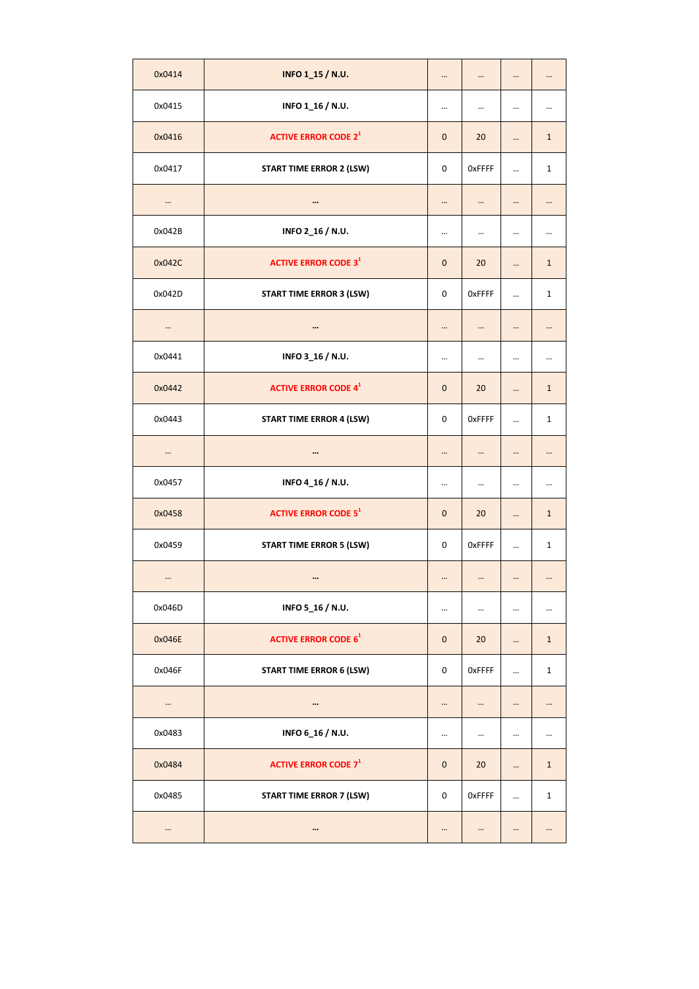| 0x0414   | INFO 1_15 / N.U.                       | $\ddotsc$    | $\ddotsc$ |           | $\cdots$     |
|----------|----------------------------------------|--------------|-----------|-----------|--------------|
| 0x0415   | INFO 1_16 / N.U.                       |              |           |           |              |
| 0x0416   | <b>ACTIVE ERROR CODE 2<sup>1</sup></b> | $\mathbf 0$  | 20        |           | $\mathbf{1}$ |
| 0x0417   | <b>START TIME ERROR 2 (LSW)</b>        | $\mathbf 0$  | OxFFFF    | $\cdots$  | $\mathbf{1}$ |
| $\cdots$ | $\cdots$                               |              | $\ddotsc$ |           |              |
| 0x042B   | INFO 2_16 / N.U.                       | $\cdots$     |           |           | $\cdots$     |
| 0x042C   | <b>ACTIVE ERROR CODE 3<sup>1</sup></b> | $\mathbf{0}$ | 20        |           | $\mathbf{1}$ |
| 0x042D   | <b>START TIME ERROR 3 (LSW)</b>        | $\mathbf 0$  | OxFFFF    | $\ddotsc$ | $\mathbf{1}$ |
|          | $\cdots$                               |              |           |           |              |
| 0x0441   | INFO 3_16 / N.U.                       | $\cdots$     |           | $\cdots$  |              |
| 0x0442   | <b>ACTIVE ERROR CODE 4<sup>1</sup></b> | $\mathbf{0}$ | 20        | $\ddotsc$ | $\mathbf{1}$ |
| 0x0443   | <b>START TIME ERROR 4 (LSW)</b>        | 0            | OxFFFF    | $\ddotsc$ | 1            |
| $\cdots$ |                                        |              |           |           |              |
| 0x0457   | INFO 4_16 / N.U.                       |              |           |           |              |
| 0x0458   | <b>ACTIVE ERROR CODE 5<sup>1</sup></b> | $\mathbf{0}$ | 20        |           | $\mathbf{1}$ |
| 0x0459   | <b>START TIME ERROR 5 (LSW)</b>        | 0            | OxFFFF    | $\ddotsc$ | 1            |
| $\cdots$ | $\cdots$                               | $\cdots$     |           | $\ddotsc$ | $\cdots$     |
| 0x046D   | INFO 5_16 / N.U.                       | $\cdots$     |           |           |              |
| 0x046E   | <b>ACTIVE ERROR CODE 6<sup>1</sup></b> | $\mathbf 0$  | 20        |           | $\mathbf{1}$ |
| 0x046F   | <b>START TIME ERROR 6 (LSW)</b>        | 0            | OxFFFF    | $\cdots$  | $\mathbf{1}$ |
| $\cdots$ | $\cdots$                               | $\cdots$     | $\cdots$  | $\cdots$  |              |
| 0x0483   | INFO 6_16 / N.U.                       | $\cdots$     | $\cdots$  | $\cdots$  |              |
| 0x0484   | <b>ACTIVE ERROR CODE 7<sup>1</sup></b> | $\mathbf 0$  | 20        |           | $\mathbf{1}$ |
| 0x0485   | <b>START TIME ERROR 7 (LSW)</b>        | 0            | OxFFFF    | $\ddotsc$ | $\mathbf{1}$ |
| $\cdots$ | $\cdots$                               |              |           |           |              |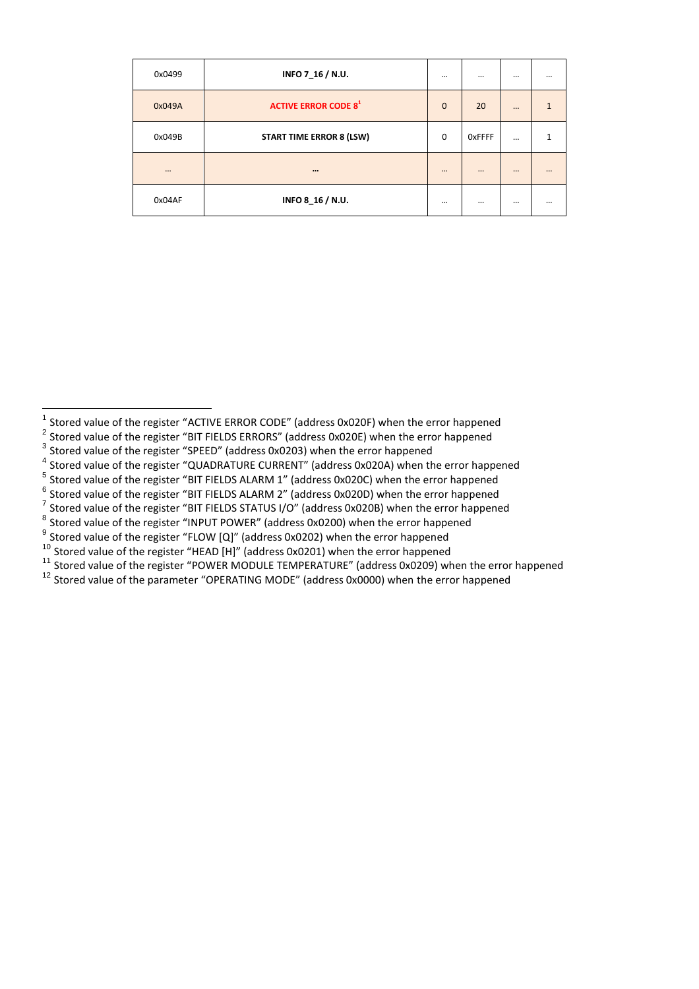| 0x0499   | INFO 7_16 / N.U.                       | $\cdots$     | $\cdots$      | $\cdots$ | $\cdots$ |
|----------|----------------------------------------|--------------|---------------|----------|----------|
| 0x049A   | <b>ACTIVE ERROR CODE 8<sup>1</sup></b> | $\mathbf{0}$ | 20            | $\cdots$ |          |
| 0x049B   | <b>START TIME ERROR 8 (LSW)</b>        | $\mathbf 0$  | <b>OxFFFF</b> | $\cdots$ |          |
| $\cdots$ |                                        |              |               | $\cdots$ |          |
| 0x04AF   | INFO 8_16 / N.U.                       | $\cdots$     |               |          | $\cdots$ |

 $^6$  Stored value of the register "BIT FIELDS ALARM 2" (address 0x020D) when the error happened

<sup>8</sup> Stored value of the register "INPUT POWER" (address 0x0200) when the error happened

 $^9$  Stored value of the register "FLOW [Q]" (address 0x0202) when the error happened

<sup>10</sup> Stored value of the register "HEAD [H]" (address 0x0201) when the error happened

<sup>11</sup> Stored value of the register "POWER MODULE TEMPERATURE" (address 0x0209) when the error happened

<sup>12</sup> Stored value of the parameter "OPERATING MODE" (address 0x0000) when the error happened

<sup>1&</sup>lt;br>1 Stored value of the register "ACTIVE ERROR CODE" (address 0x020F) when the error happened<br><sup>2</sup> Stored value of the register "BIT FIELDS ERRORS" (address 0x020E) when the error happened

 $3$  Stored value of the register "SPEED" (address 0x0203) when the error happened

<sup>4</sup> Stored value of the register "QUADRATURE CURRENT" (address 0x020A) when the error happened

<sup>&</sup>lt;sup>5</sup> Stored value of the register "BIT FIELDS ALARM 1" (address 0x020C) when the error happened

 $^7$  Stored value of the register "BIT FIELDS STATUS I/O" (address 0x020B) when the error happened